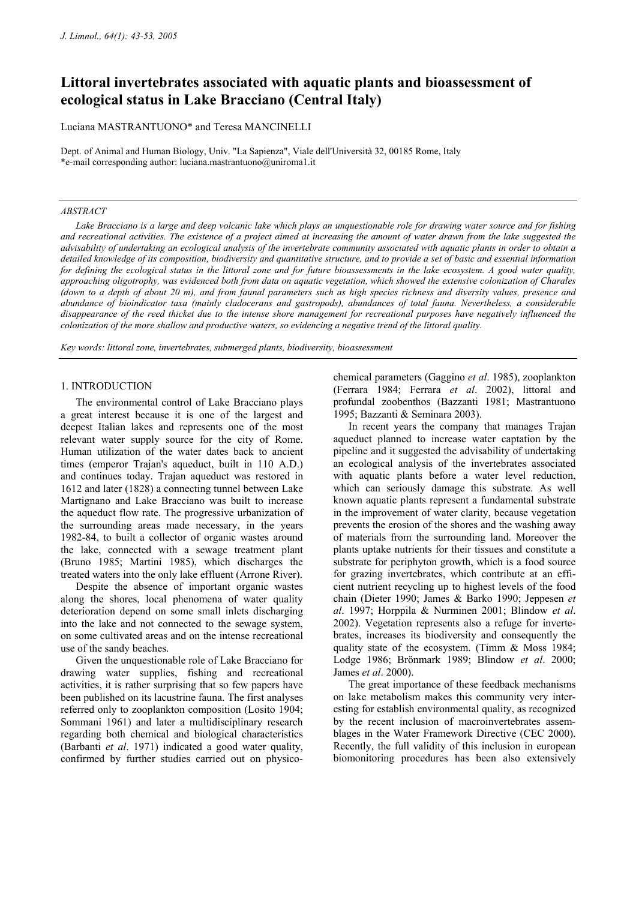# **Littoral invertebrates associated with aquatic plants and bioassessment of ecological status in Lake Bracciano (Central Italy)**

Luciana MASTRANTUONO\* and Teresa MANCINELLI

Dept. of Animal and Human Biology, Univ. "La Sapienza", Viale dell'Università 32, 00185 Rome, Italy \*e-mail corresponding author: luciana.mastrantuono@uniroma1.it

#### *ABSTRACT*

*Lake Bracciano is a large and deep volcanic lake which plays an unquestionable role for drawing water source and for fishing and recreational activities. The existence of a project aimed at increasing the amount of water drawn from the lake suggested the advisability of undertaking an ecological analysis of the invertebrate community associated with aquatic plants in order to obtain a detailed knowledge of its composition, biodiversity and quantitative structure, and to provide a set of basic and essential information for defining the ecological status in the littoral zone and for future bioassessments in the lake ecosystem. A good water quality, approaching oligotrophy, was evidenced both from data on aquatic vegetation, which showed the extensive colonization of Charales (down to a depth of about 20 m), and from faunal parameters such as high species richness and diversity values, presence and abundance of bioindicator taxa (mainly cladocerans and gastropods), abundances of total fauna. Nevertheless, a considerable disappearance of the reed thicket due to the intense shore management for recreational purposes have negatively influenced the colonization of the more shallow and productive waters, so evidencing a negative trend of the littoral quality.* 

*Key words: littoral zone, invertebrates, submerged plants, biodiversity, bioassessment* 

#### 1. INTRODUCTION

The environmental control of Lake Bracciano plays a great interest because it is one of the largest and deepest Italian lakes and represents one of the most relevant water supply source for the city of Rome. Human utilization of the water dates back to ancient times (emperor Trajan's aqueduct, built in 110 A.D.) and continues today. Trajan aqueduct was restored in 1612 and later (1828) a connecting tunnel between Lake Martignano and Lake Bracciano was built to increase the aqueduct flow rate. The progressive urbanization of the surrounding areas made necessary, in the years 1982-84, to built a collector of organic wastes around the lake, connected with a sewage treatment plant (Bruno 1985; Martini 1985), which discharges the treated waters into the only lake effluent (Arrone River).

Despite the absence of important organic wastes along the shores, local phenomena of water quality deterioration depend on some small inlets discharging into the lake and not connected to the sewage system, on some cultivated areas and on the intense recreational use of the sandy beaches.

Given the unquestionable role of Lake Bracciano for drawing water supplies, fishing and recreational activities, it is rather surprising that so few papers have been published on its lacustrine fauna. The first analyses referred only to zooplankton composition (Losito 1904; Sommani 1961) and later a multidisciplinary research regarding both chemical and biological characteristics (Barbanti *et al*. 1971) indicated a good water quality, confirmed by further studies carried out on physicochemical parameters (Gaggino *et al*. 1985), zooplankton (Ferrara 1984; Ferrara *et al*. 2002), littoral and profundal zoobenthos (Bazzanti 1981; Mastrantuono 1995; Bazzanti & Seminara 2003).

In recent years the company that manages Trajan aqueduct planned to increase water captation by the pipeline and it suggested the advisability of undertaking an ecological analysis of the invertebrates associated with aquatic plants before a water level reduction, which can seriously damage this substrate. As well known aquatic plants represent a fundamental substrate in the improvement of water clarity, because vegetation prevents the erosion of the shores and the washing away of materials from the surrounding land. Moreover the plants uptake nutrients for their tissues and constitute a substrate for periphyton growth, which is a food source for grazing invertebrates, which contribute at an efficient nutrient recycling up to highest levels of the food chain (Dieter 1990; James & Barko 1990; Jeppesen *et al*. 1997; Horppila & Nurminen 2001; Blindow *et al*. 2002). Vegetation represents also a refuge for invertebrates, increases its biodiversity and consequently the quality state of the ecosystem. (Timm & Moss 1984; Lodge 1986; Brönmark 1989; Blindow *et al*. 2000; James *et al*. 2000).

The great importance of these feedback mechanisms on lake metabolism makes this community very interesting for establish environmental quality, as recognized by the recent inclusion of macroinvertebrates assemblages in the Water Framework Directive (CEC 2000). Recently, the full validity of this inclusion in european biomonitoring procedures has been also extensively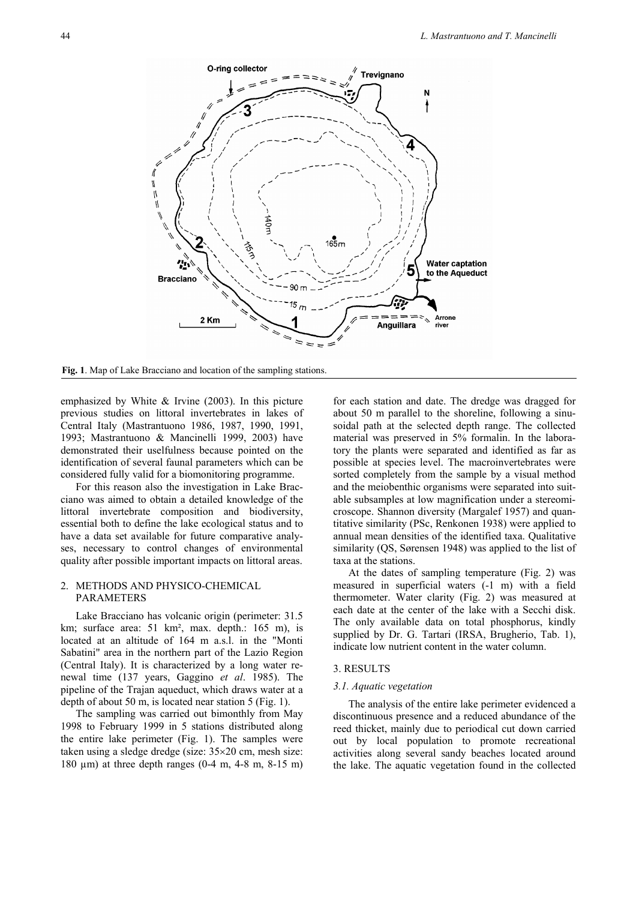

**Fig. 1**. Map of Lake Bracciano and location of the sampling stations.

emphasized by White  $&$  Irvine (2003). In this picture previous studies on littoral invertebrates in lakes of Central Italy (Mastrantuono 1986, 1987, 1990, 1991, 1993; Mastrantuono & Mancinelli 1999, 2003) have demonstrated their uselfulness because pointed on the identification of several faunal parameters which can be considered fully valid for a biomonitoring programme.

For this reason also the investigation in Lake Bracciano was aimed to obtain a detailed knowledge of the littoral invertebrate composition and biodiversity, essential both to define the lake ecological status and to have a data set available for future comparative analyses, necessary to control changes of environmental quality after possible important impacts on littoral areas.

# 2. METHODS AND PHYSICO-CHEMICAL PARAMETERS

Lake Bracciano has volcanic origin (perimeter: 31.5 km; surface area: 51 km<sup>2</sup>, max. depth.: 165 m), is located at an altitude of 164 m a.s.l. in the "Monti Sabatini" area in the northern part of the Lazio Region (Central Italy). It is characterized by a long water renewal time (137 years, Gaggino *et al*. 1985). The pipeline of the Trajan aqueduct, which draws water at a depth of about 50 m, is located near station 5 (Fig. 1).

The sampling was carried out bimonthly from May 1998 to February 1999 in 5 stations distributed along the entire lake perimeter (Fig. 1). The samples were taken using a sledge dredge (size: 35×20 cm, mesh size: 180 µm) at three depth ranges (0-4 m, 4-8 m, 8-15 m) for each station and date. The dredge was dragged for about 50 m parallel to the shoreline, following a sinusoidal path at the selected depth range. The collected material was preserved in 5% formalin. In the laboratory the plants were separated and identified as far as possible at species level. The macroinvertebrates were sorted completely from the sample by a visual method and the meiobenthic organisms were separated into suitable subsamples at low magnification under a stereomicroscope. Shannon diversity (Margalef 1957) and quantitative similarity (PSc, Renkonen 1938) were applied to annual mean densities of the identified taxa. Qualitative similarity (QS, Sørensen 1948) was applied to the list of taxa at the stations.

At the dates of sampling temperature (Fig. 2) was measured in superficial waters (-1 m) with a field thermometer. Water clarity (Fig. 2) was measured at each date at the center of the lake with a Secchi disk. The only available data on total phosphorus, kindly supplied by Dr. G. Tartari (IRSA, Brugherio, Tab. 1), indicate low nutrient content in the water column.

## 3. RESULTS

## *3.1. Aquatic vegetation*

The analysis of the entire lake perimeter evidenced a discontinuous presence and a reduced abundance of the reed thicket, mainly due to periodical cut down carried out by local population to promote recreational activities along several sandy beaches located around the lake. The aquatic vegetation found in the collected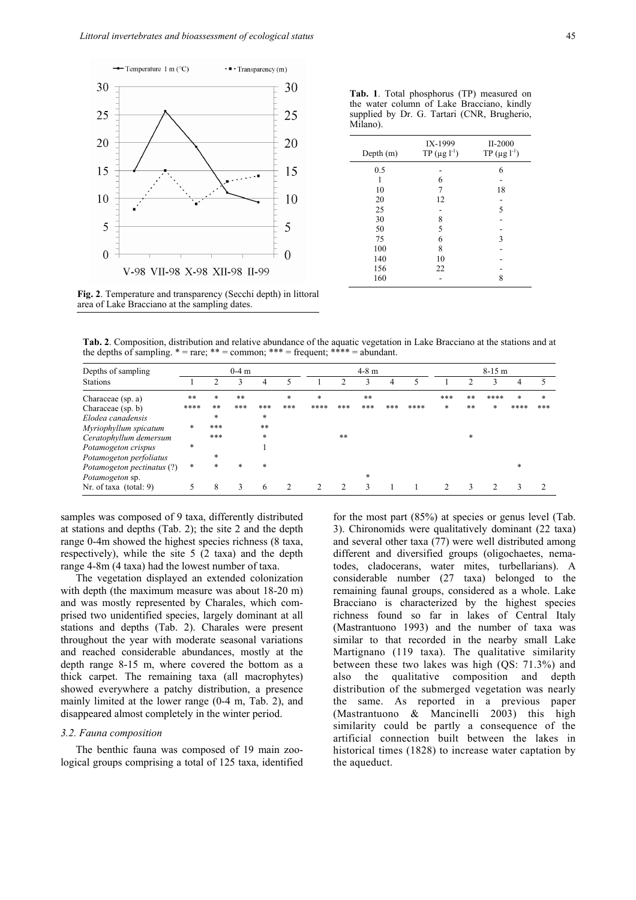

| Milano).  |                                |                                |
|-----------|--------------------------------|--------------------------------|
| Depth (m) | IX-1999<br>$TP (\mu g l^{-1})$ | II-2000<br>$TP (\mu g l^{-1})$ |
| 0.5       |                                | 6                              |
|           | 6                              |                                |
| 10        | 7                              | 18                             |
| 20        | 12                             |                                |
| 25        |                                | 5                              |
| 30        | 8                              |                                |
| 50        | 5                              |                                |
| 75        | 6                              | 3                              |
| 100       | 8                              |                                |
| 140       | 10                             |                                |
| 156       | 22                             |                                |
| 160       |                                | 8                              |
|           |                                |                                |

**Tab. 1**. Total phosphorus (TP) measured on the water column of Lake Bracciano, kindly supplied by Dr. G. Tartari (CNR, Brugherio,

**Fig. 2**. Temperature and transparency (Secchi depth) in littoral area of Lake Bracciano at the sampling dates.

**Tab. 2**. Composition, distribution and relative abundance of the aquatic vegetation in Lake Bracciano at the stations and at the depths of sampling.  $* = \text{rare}$ ;  $** = \text{common}$ ;  $*** = \text{frequent}$ ;  $*** = \text{abundant}$ .

| Depths of sampling         |        |        | $0-4$ m | $4-8$ m |                |      |     | $8-15$ m |     |      |     |    |      |        |        |
|----------------------------|--------|--------|---------|---------|----------------|------|-----|----------|-----|------|-----|----|------|--------|--------|
| <b>Stations</b>            |        |        | 3       | 4       |                |      |     | 3        | 4   |      |     |    |      |        |        |
| Characeae (sp. a)          | **     | *      | **      |         | *              | *    |     | **       |     |      | *** | ** | **** | $\ast$ | $\ast$ |
| Characeae $(sp, b)$        | ****   | $***$  | ***     | ***     | ***            | **** | *** | ***      | *** | **** | *   | ** | *    | ****   | ***    |
| Elodea canadensis          |        | *      |         | *       |                |      |     |          |     |      |     |    |      |        |        |
| Myriophyllum spicatum      | $\ast$ | ***    |         | **      |                |      |     |          |     |      |     |    |      |        |        |
| Ceratophyllum demersum     |        | ***    |         | *       |                |      | **  |          |     |      |     | *  |      |        |        |
| Potamogeton crispus        | $\ast$ |        |         |         |                |      |     |          |     |      |     |    |      |        |        |
| Potamogeton perfoliatus    |        | $\ast$ |         |         |                |      |     |          |     |      |     |    |      |        |        |
| Potamogeton pectinatus (?) | $\ast$ | *      | *       | $\ast$  |                |      |     |          |     |      |     |    |      | *      |        |
| Potamogeton sp.            |        |        |         |         |                |      |     | *        |     |      |     |    |      |        |        |
| Nr. of taxa $(total: 9)$   | 5      | 8      | 3       | 6       | $\mathfrak{D}$ |      |     | 3        |     |      |     | κ  | 2    |        |        |

samples was composed of 9 taxa, differently distributed at stations and depths (Tab. 2); the site 2 and the depth range 0-4m showed the highest species richness (8 taxa, respectively), while the site 5 (2 taxa) and the depth range 4-8m (4 taxa) had the lowest number of taxa.

The vegetation displayed an extended colonization with depth (the maximum measure was about 18-20 m) and was mostly represented by Charales, which comprised two unidentified species, largely dominant at all stations and depths (Tab. 2). Charales were present throughout the year with moderate seasonal variations and reached considerable abundances, mostly at the depth range 8-15 m, where covered the bottom as a thick carpet. The remaining taxa (all macrophytes) showed everywhere a patchy distribution, a presence mainly limited at the lower range (0-4 m, Tab. 2), and disappeared almost completely in the winter period.

## *3.2. Fauna composition*

The benthic fauna was composed of 19 main zoological groups comprising a total of 125 taxa, identified for the most part (85%) at species or genus level (Tab. 3). Chironomids were qualitatively dominant (22 taxa) and several other taxa (77) were well distributed among different and diversified groups (oligochaetes, nematodes, cladocerans, water mites, turbellarians). A considerable number (27 taxa) belonged to the remaining faunal groups, considered as a whole. Lake Bracciano is characterized by the highest species richness found so far in lakes of Central Italy (Mastrantuono 1993) and the number of taxa was similar to that recorded in the nearby small Lake Martignano (119 taxa). The qualitative similarity between these two lakes was high (QS: 71.3%) and also the qualitative composition and depth distribution of the submerged vegetation was nearly the same. As reported in a previous paper (Mastrantuono & Mancinelli 2003) this high similarity could be partly a consequence of the artificial connection built between the lakes in historical times (1828) to increase water captation by the aqueduct.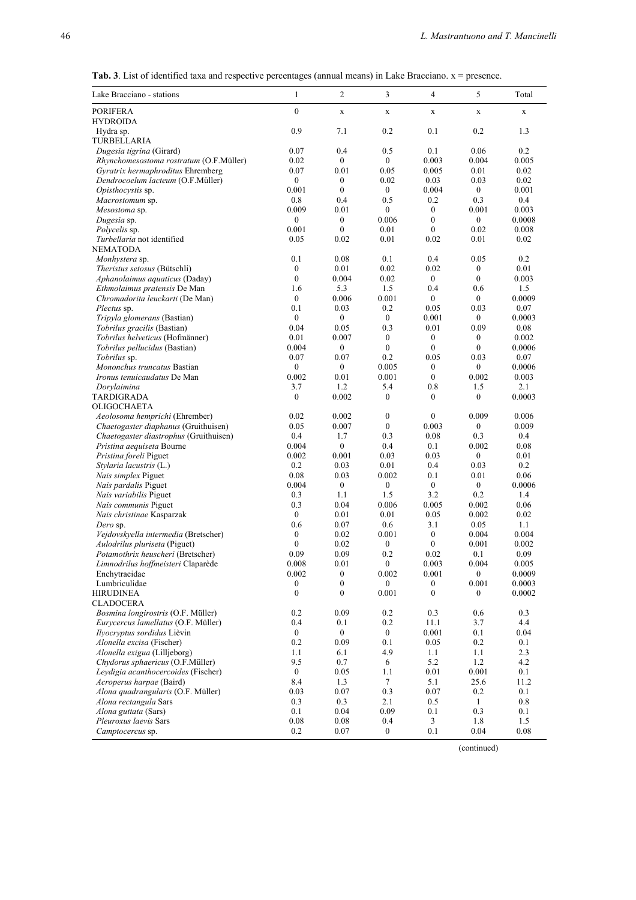| <b>Tab. 3</b> . List of identified taxa and respective percentages (annual means) in Lake Bracciano. $x =$ presence. |
|----------------------------------------------------------------------------------------------------------------------|
|----------------------------------------------------------------------------------------------------------------------|

| Lake Bracciano - stations                                                      | 1                                | 2                                | 3                                | 4                                    | 5                        | Total          |
|--------------------------------------------------------------------------------|----------------------------------|----------------------------------|----------------------------------|--------------------------------------|--------------------------|----------------|
| <b>PORIFERA</b>                                                                | $\overline{0}$                   | $\mathbf X$                      | $\mathbf X$                      | $\mathbf X$                          | $\mathbf X$              | $\mathbf X$    |
| <b>HYDROIDA</b>                                                                |                                  |                                  |                                  |                                      |                          |                |
| Hydra sp.                                                                      | 0.9                              | 7.1                              | 0.2                              | 0.1                                  | 0.2                      | 1.3            |
| TURBELLARIA                                                                    |                                  |                                  |                                  |                                      |                          |                |
| Dugesia tigrina (Girard)                                                       | 0.07                             | 0.4                              | 0.5                              | 0.1                                  | 0.06                     | 0.2            |
| Rhynchomesostoma rostratum (O.F.Müller)                                        | 0.02                             | $\boldsymbol{0}$                 | $\overline{0}$                   | 0.003                                | 0.004                    | 0.005          |
| Gyratrix hermaphroditus Ehremberg                                              | 0.07                             | 0.01                             | 0.05                             | 0.005                                | 0.01                     | 0.02           |
| Dendrocoelum lacteum (O.F.Müller)                                              | $\boldsymbol{0}$<br>0.001        | $\overline{0}$<br>$\overline{0}$ | 0.02<br>$\overline{0}$           | 0.03<br>0.004                        | 0.03<br>$\overline{0}$   | 0.02<br>0.001  |
| Opisthocystis sp.<br>Macrostomum sp.                                           | 0.8                              | 0.4                              | 0.5                              | 0.2                                  | 0.3                      | 0.4            |
| Mesostoma sp.                                                                  | 0.009                            | 0.01                             | $\overline{0}$                   | $\mathbf{0}$                         | 0.001                    | 0.003          |
| Dugesia sp.                                                                    | $\boldsymbol{0}$                 | $\boldsymbol{0}$                 | 0.006                            | $\boldsymbol{0}$                     | $\boldsymbol{0}$         | 0.0008         |
| Polycelis sp.                                                                  | 0.001                            | $\boldsymbol{0}$                 | 0.01                             | $\mathbf{0}$                         | 0.02                     | 0.008          |
| Turbellaria not identified                                                     | 0.05                             | 0.02                             | 0.01                             | 0.02                                 | 0.01                     | 0.02           |
| <b>NEMATODA</b>                                                                |                                  |                                  |                                  |                                      |                          |                |
| Monhystera sp.                                                                 | 0.1                              | 0.08                             | 0.1                              | 0.4                                  | 0.05                     | 0.2            |
| Theristus setosus (Bütschli)                                                   | $\overline{0}$                   | 0.01                             | 0.02                             | 0.02                                 | $\mathbf{0}$             | 0.01           |
| Aphanolaimus aquaticus (Daday)                                                 | $\overline{0}$                   | 0.004                            | 0.02                             | $\boldsymbol{0}$                     | $\mathbf{0}$             | 0.003          |
| Ethmolaimus pratensis De Man                                                   | 1.6                              | 5.3                              | 1.5                              | 0.4                                  | 0.6                      | 1.5            |
| Chromadorita leuckarti (De Man)                                                | $\boldsymbol{0}$<br>0.1          | 0.006<br>0.03                    | 0.001<br>0.2                     | $\boldsymbol{0}$<br>0.05             | $\boldsymbol{0}$<br>0.03 | 0.0009<br>0.07 |
| <i>Plectus</i> sp.<br>Tripyla glomerans (Bastian)                              | $\mathbf{0}$                     | $\boldsymbol{0}$                 | $\mathbf{0}$                     | 0.001                                | $\mathbf{0}$             | 0.0003         |
| Tobrilus gracilis (Bastian)                                                    | 0.04                             | 0.05                             | 0.3                              | 0.01                                 | 0.09                     | 0.08           |
| Tobrilus helveticus (Hofmänner)                                                | 0.01                             | 0.007                            | $\overline{0}$                   | $\boldsymbol{0}$                     | $\mathbf{0}$             | 0.002          |
| Tobrilus pellucidus (Bastian)                                                  | 0.004                            | $\overline{0}$                   | $\overline{0}$                   | $\mathbf{0}$                         | $\mathbf{0}$             | 0.0006         |
| Tobrilus sp.                                                                   | 0.07                             | 0.07                             | 0.2                              | 0.05                                 | 0.03                     | 0.07           |
| Mononchus truncatus Bastian                                                    | $\overline{0}$                   | $\mathbf{0}$                     | 0.005                            | $\boldsymbol{0}$                     | $\overline{0}$           | 0.0006         |
| Ironus tenuicaudatus De Man                                                    | 0.002                            | 0.01                             | 0.001                            | $\boldsymbol{0}$                     | 0.002                    | 0.003          |
| Dorvlaimina                                                                    | 3.7                              | 1.2                              | 5.4                              | 0.8                                  | 1.5                      | 2.1            |
| TARDIGRADA                                                                     | $\mathbf{0}$                     | 0.002                            | $\boldsymbol{0}$                 | $\boldsymbol{0}$                     | $\boldsymbol{0}$         | 0.0003         |
| <b>OLIGOCHAETA</b>                                                             |                                  |                                  |                                  |                                      |                          |                |
| Aeolosoma hemprichi (Ehrember)                                                 | 0.02                             | 0.002                            | $\boldsymbol{0}$<br>$\mathbf{0}$ | $\boldsymbol{0}$                     | 0.009                    | 0.006          |
| Chaetogaster diaphanus (Gruithuisen)<br>Chaetogaster diastrophus (Gruithuisen) | 0.05<br>0.4                      | 0.007<br>1.7                     | 0.3                              | 0.003<br>0.08                        | $\boldsymbol{0}$<br>0.3  | 0.009<br>0.4   |
| Pristina aequiseta Bourne                                                      | 0.004                            | $\boldsymbol{0}$                 | 0.4                              | 0.1                                  | 0.002                    | 0.08           |
| Pristina foreli Piguet                                                         | 0.002                            | 0.001                            | 0.03                             | 0.03                                 | $\mathbf{0}$             | 0.01           |
| Stylaria lacustris (L.)                                                        | 0.2                              | 0.03                             | 0.01                             | 0.4                                  | 0.03                     | 0.2            |
| Nais simplex Piguet                                                            | 0.08                             | 0.03                             | 0.002                            | 0.1                                  | 0.01                     | 0.06           |
| Nais pardalis Piguet                                                           | 0.004                            | $\mathbf{0}$                     | $\boldsymbol{0}$                 | $\boldsymbol{0}$                     | $\boldsymbol{0}$         | 0.0006         |
| Nais variabilis Piguet                                                         | 0.3                              | 1.1                              | 1.5                              | 3.2                                  | 0.2                      | 1.4            |
| Nais communis Piguet                                                           | 0.3                              | 0.04                             | 0.006                            | 0.005                                | 0.002                    | 0.06           |
| Nais christinae Kasparzak                                                      | $\overline{0}$                   | 0.01                             | 0.01                             | 0.05                                 | 0.002                    | 0.02           |
| Dero sp.                                                                       | 0.6                              | 0.07                             | 0.6                              | 3.1                                  | 0.05                     | 1.1            |
| Vejdovskyella intermedia (Bretscher)<br>Aulodrilus pluriseta (Piguet)          | $\boldsymbol{0}$<br>$\mathbf{0}$ | 0.02<br>0.02                     | 0.001<br>$\boldsymbol{0}$        | $\boldsymbol{0}$<br>$\boldsymbol{0}$ | 0.004<br>0.001           | 0.004<br>0.002 |
| Potamothrix heuscheri (Bretscher)                                              | 0.09                             | 0.09                             | 0.2                              | 0.02                                 | 0.1                      | 0.09           |
| Limnodrilus hoffmeisteri Claparède                                             | 0.008                            | 0.01                             | $\boldsymbol{0}$                 | 0.003                                | 0.004                    | 0.005          |
| Enchytraeidae                                                                  | 0.002                            | $\boldsymbol{0}$                 | 0.002                            | 0.001                                | $\boldsymbol{0}$         | 0.0009         |
| Lumbriculidae                                                                  | $\boldsymbol{0}$                 | $\boldsymbol{0}$                 | 0                                | $\boldsymbol{0}$                     | 0.001                    | 0.0003         |
| <b>HIRUDINEA</b>                                                               | $\boldsymbol{0}$                 | $\boldsymbol{0}$                 | 0.001                            | $\boldsymbol{0}$                     | $\boldsymbol{0}$         | 0.0002         |
| <b>CLADOCERA</b>                                                               |                                  |                                  |                                  |                                      |                          |                |
| Bosmina longirostris (O.F. Müller)                                             | 0.2                              | 0.09                             | 0.2                              | 0.3                                  | 0.6                      | 0.3            |
| Eurycercus lamellatus (O.F. Müller)                                            | 0.4                              | 0.1                              | 0.2                              | 11.1                                 | 3.7                      | 4.4            |
| Ilyocryptus sordidus Lièvin                                                    | $\boldsymbol{0}$                 | $\overline{0}$                   | $\mathbf{0}$                     | 0.001                                | 0.1                      | 0.04           |
| Alonella excisa (Fischer)                                                      | 0.2                              | 0.09                             | 0.1                              | 0.05                                 | 0.2                      | 0.1            |
| Alonella exigua (Lilljeborg)<br>Chydorus sphaericus (O.F.Müller)               | 1.1<br>9.5                       | 6.1<br>0.7                       | 4.9<br>6                         | 1.1<br>5.2                           | 1.1<br>1.2               | 2.3<br>4.2     |
| Leydigia acanthocercoides (Fischer)                                            | $\boldsymbol{0}$                 | 0.05                             | 1.1                              | 0.01                                 | 0.001                    | 0.1            |
| Acroperus harpae (Baird)                                                       | 8.4                              | 1.3                              | $7\phantom{.0}$                  | 5.1                                  | 25.6                     | 11.2           |
| Alona quadrangularis (O.F. Müller)                                             | 0.03                             | 0.07                             | 0.3                              | 0.07                                 | 0.2                      | 0.1            |
| Alona rectangula Sars                                                          | 0.3                              | 0.3                              | 2.1                              | 0.5                                  | 1                        | 0.8            |
| Alona guttata (Sars)                                                           | 0.1                              | 0.04                             | 0.09                             | 0.1                                  | 0.3                      | 0.1            |
| Pleuroxus laevis Sars                                                          | 0.08                             | $0.08\,$                         | 0.4                              | 3                                    | 1.8                      | 1.5            |
| Camptocercus sp.                                                               | $0.2\,$                          | 0.07                             | $\boldsymbol{0}$                 | 0.1                                  | 0.04                     | 0.08           |

(continued)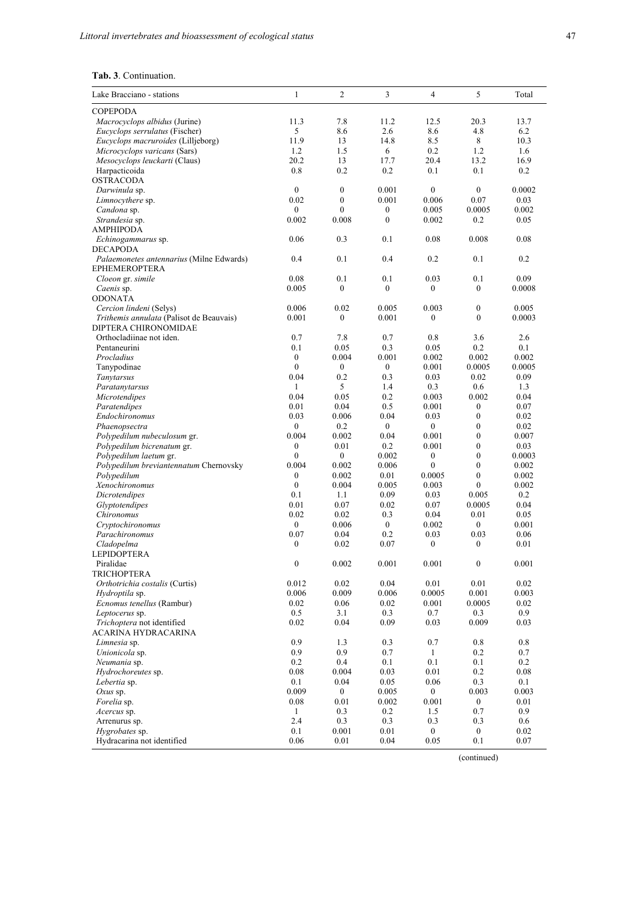| Lake Bracciano - stations                           | $\mathbf{1}$             | $\overline{c}$               | 3                                | $\overline{4}$           | 5                    | Total         |
|-----------------------------------------------------|--------------------------|------------------------------|----------------------------------|--------------------------|----------------------|---------------|
| <b>COPEPODA</b>                                     |                          |                              |                                  |                          |                      |               |
| Macrocyclops albidus (Jurine)                       | 11.3                     | 7.8                          | 11.2                             | 12.5                     | 20.3                 | 13.7          |
| Eucyclops serrulatus (Fischer)                      | 5                        | 8.6                          | 2.6                              | 8.6                      | 4.8                  | 6.2           |
| Eucyclops macruroides (Lilljeborg)                  | 11.9                     | 13                           | 14.8                             | 8.5                      | 8                    | 10.3          |
| Microcyclops varicans (Sars)                        | 1.2                      | 1.5                          | 6                                | 0.2                      | 1.2                  | 1.6           |
| Mesocyclops leuckarti (Claus)                       | 20.2                     | 13                           | 17.7                             | 20.4                     | 13.2                 | 16.9          |
| Harpacticoida                                       | 0.8                      | 0.2                          | 0.2                              | 0.1                      | 0.1                  | 0.2           |
| <b>OSTRACODA</b>                                    |                          |                              |                                  |                          |                      |               |
| Darwinula sp.                                       | $\mathbf{0}$             | $\boldsymbol{0}$             | 0.001                            | $\mathbf{0}$             | $\boldsymbol{0}$     | 0.0002        |
| Limnocythere sp.                                    | 0.02<br>$\mathbf{0}$     | $\mathbf{0}$<br>$\mathbf{0}$ | 0.001                            | 0.006                    | 0.07                 | 0.03          |
| Candona sp.<br>Strandesia sp.                       | 0.002                    | 0.008                        | $\boldsymbol{0}$<br>$\mathbf{0}$ | 0.005<br>0.002           | 0.0005<br>0.2        | 0.002<br>0.05 |
| <b>AMPHIPODA</b>                                    |                          |                              |                                  |                          |                      |               |
| Echinogammarus sp.                                  | 0.06                     | 0.3                          | 0.1                              | 0.08                     | 0.008                | 0.08          |
| <b>DECAPODA</b>                                     |                          |                              |                                  |                          |                      |               |
| Palaemonetes antennarius (Milne Edwards)            | 0.4                      | 0.1                          | 0.4                              | 0.2                      | 0.1                  | 0.2           |
| <b>EPHEMEROPTERA</b>                                |                          |                              |                                  |                          |                      |               |
| Cloeon gr. simile                                   | 0.08                     | 0.1                          | 0.1                              | 0.03                     | 0.1                  | 0.09          |
| Caenis sp.                                          | 0.005                    | $\mathbf{0}$                 | $\theta$                         | $\mathbf{0}$             | $\mathbf{0}$         | 0.0008        |
| <b>ODONATA</b>                                      |                          |                              |                                  |                          |                      |               |
| Cercion lindeni (Selys)                             | 0.006                    | 0.02                         | 0.005                            | 0.003                    | $\boldsymbol{0}$     | 0.005         |
| Trithemis annulata (Palisot de Beauvais)            | 0.001                    | $\boldsymbol{0}$             | 0.001                            | $\boldsymbol{0}$         | $\boldsymbol{0}$     | 0.0003        |
| DIPTERA CHIRONOMIDAE                                |                          |                              |                                  |                          |                      |               |
| Orthocladiinae not iden.                            | 0.7                      | 7.8                          | 0.7                              | 0.8                      | 3.6                  | 2.6           |
| Pentaneurini                                        | 0.1                      | 0.05                         | 0.3                              | 0.05                     | 0.2                  | 0.1           |
| Procladius                                          | $\boldsymbol{0}$         | 0.004                        | 0.001                            | 0.002                    | 0.002                | 0.002         |
| Tanypodinae                                         | $\theta$                 | $\boldsymbol{0}$             | $\mathbf{0}$                     | 0.001                    | 0.0005               | 0.0005        |
| Tanytarsus<br>Paratanytarsus                        | 0.04<br>$\mathbf{1}$     | 0.2<br>5                     | 0.3<br>1.4                       | 0.03<br>0.3              | 0.02<br>0.6          | 0.09<br>1.3   |
| <b>Microtendipes</b>                                | 0.04                     | 0.05                         | 0.2                              | 0.003                    | 0.002                | 0.04          |
| Paratendipes                                        | 0.01                     | 0.04                         | 0.5                              | 0.001                    | $\boldsymbol{0}$     | 0.07          |
| Endochironomus                                      | 0.03                     | 0.006                        | 0.04                             | 0.03                     | $\boldsymbol{0}$     | 0.02          |
| Phaenopsectra                                       | $\mathbf{0}$             | 0.2                          | $\mathbf{0}$                     | $\overline{0}$           | $\boldsymbol{0}$     | 0.02          |
| Polypedilum nubeculosum gr.                         | 0.004                    | 0.002                        | 0.04                             | 0.001                    | $\mathbf{0}$         | 0.007         |
| Polypedilum bicrenatum gr.                          | $\boldsymbol{0}$         | 0.01                         | 0.2                              | 0.001                    | $\mathbf{0}$         | 0.03          |
| Polypedilum laetum gr.                              | $\mathbf{0}$             | $\boldsymbol{0}$             | 0.002                            | $\boldsymbol{0}$         | $\mathbf{0}$         | 0.0003        |
| Polypedilum breviantennatum Chernovsky              | 0.004                    | 0.002                        | 0.006                            | $\mathbf{0}$             | $\overline{0}$       | 0.002         |
| Polypedilum                                         | $\boldsymbol{0}$         | 0.002                        | 0.01                             | 0.0005                   | $\mathbf{0}$         | 0.002         |
| Xenochironomus                                      | $\mathbf{0}$             | 0.004                        | 0.005                            | 0.003                    | $\mathbf{0}$         | 0.002         |
| Dicrotendipes                                       | 0.1                      | 1.1                          | 0.09                             | 0.03                     | 0.005                | 0.2           |
| Glyptotendipes                                      | 0.01                     | 0.07                         | 0.02                             | 0.07                     | 0.0005               | 0.04          |
| Chironomus                                          | 0.02                     | 0.02                         | 0.3                              | 0.04                     | 0.01                 | 0.05          |
| Cryptochironomus                                    | $\boldsymbol{0}$         | 0.006                        | $\boldsymbol{0}$                 | 0.002                    | $\boldsymbol{0}$     | 0.001         |
| Parachironomus                                      | 0.07<br>$\boldsymbol{0}$ | 0.04                         | 0.2<br>0.07                      | 0.03<br>$\boldsymbol{0}$ | 0.03<br>$\mathbf{0}$ | 0.06<br>0.01  |
| Cladopelma<br><b>LEPIDOPTERA</b>                    |                          | 0.02                         |                                  |                          |                      |               |
| Piralidae                                           | $\mathbf{0}$             | 0.002                        | 0.001                            | 0.001                    | $\mathbf{0}$         | 0.001         |
| <b>TRICHOPTERA</b>                                  |                          |                              |                                  |                          |                      |               |
| Orthotrichia costalis (Curtis)                      | 0.012                    | 0.02                         | 0.04                             | 0.01                     | 0.01                 | 0.02          |
| Hydroptila sp.                                      | 0.006                    | 0.009                        | 0.006                            | 0.0005                   | 0.001                | 0.003         |
| Ecnomus tenellus (Rambur)                           | 0.02                     | 0.06                         | 0.02                             | 0.001                    | 0.0005               | 0.02          |
| Leptocerus sp.                                      | 0.5                      | 3.1                          | 0.3                              | 0.7                      | 0.3                  | 0.9           |
| Trichoptera not identified                          | 0.02                     | 0.04                         | 0.09                             | 0.03                     | 0.009                | 0.03          |
| ACARINA HYDRACARINA                                 |                          |                              |                                  |                          |                      |               |
| Limnesia sp.                                        | 0.9                      | 1.3                          | 0.3                              | 0.7                      | 0.8                  | 0.8           |
| Unionicola sp.                                      | 0.9                      | 0.9                          | 0.7                              | $\mathbf{1}$             | 0.2                  | 0.7           |
| Neumania sp.                                        | 0.2                      | 0.4                          | 0.1                              | 0.1                      | 0.1                  | 0.2           |
| Hydrochoreutes sp.                                  | 0.08                     | 0.004                        | 0.03                             | 0.01                     | 0.2                  | 0.08          |
| Lebertia sp.                                        | 0.1                      | 0.04                         | 0.05                             | 0.06                     | 0.3                  | 0.1           |
| $Oxus$ sp.                                          | 0.009                    | $\overline{0}$               | 0.005                            | 0                        | 0.003                | 0.003         |
| Forelia sp.                                         | 0.08                     | 0.01                         | 0.002                            | 0.001                    | $\bf{0}$             | 0.01          |
| Acercus sp.                                         | $\mathbf{1}$             | 0.3                          | 0.2                              | 1.5                      | 0.7                  | 0.9           |
| Arrenurus sp.                                       | 2.4<br>0.1               | 0.3<br>0.001                 | 0.3<br>0.01                      | 0.3<br>$\overline{0}$    | 0.3<br>$\bf{0}$      | 0.6<br>0.02   |
| <i>Hygrobates</i> sp.<br>Hydracarina not identified | 0.06                     | 0.01                         | 0.04                             | 0.05                     | 0.1                  | 0.07          |
|                                                     |                          |                              |                                  |                          |                      |               |

(continued)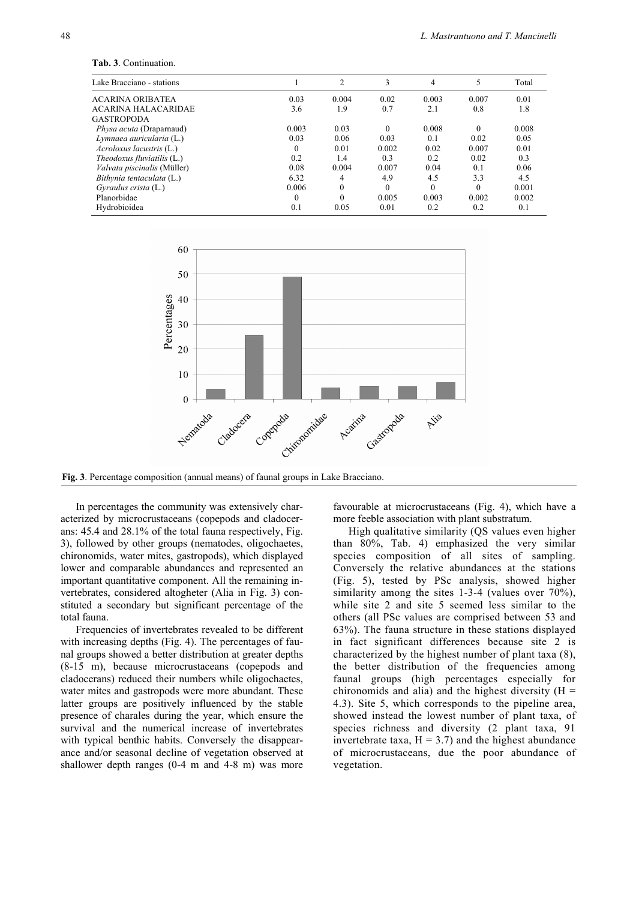| Lake Bracciano - stations       |              | 2                | 3        | 4        | 5        | Total |
|---------------------------------|--------------|------------------|----------|----------|----------|-------|
| ACARINA ORIBATEA                | 0.03         | 0.004            | 0.02     | 0.003    | 0.007    | 0.01  |
| <b>ACARINA HALACARIDAE</b>      | 3.6          | 1.9              | 0.7      | 2.1      | 0.8      | 1.8   |
| <b>GASTROPODA</b>               |              |                  |          |          |          |       |
| <i>Physa acuta</i> (Draparnaud) | 0.003        | 0.03             | $\Omega$ | 0.008    | $\Omega$ | 0.008 |
| Lymnaea auricularia (L.)        | 0.03         | 0.06             | 0.03     | 0.1      | 0.02     | 0.05  |
| Acroloxus lacustris (L.)        | $\theta$     | 0.01             | 0.002    | 0.02     | 0.007    | 0.01  |
| Theodoxus fluviatilis $(L)$     | 0.2          | 1.4              | 0.3      | 0.2      | 0.02     | 0.3   |
| Valvata piscinalis (Müller)     | 0.08         | 0.004            | 0.007    | 0.04     | 0.1      | 0.06  |
| Bithynia tentaculata (L.)       | 6.32         | 4                | 4.9      | 4.5      | 3.3      | 4.5   |
| Gyraulus crista (L.)            | 0.006        | $\boldsymbol{0}$ | $\Omega$ | $\Omega$ | $\Omega$ | 0.001 |
| Planorbidae                     | $\mathbf{0}$ | $\theta$         | 0.005    | 0.003    | 0.002    | 0.002 |
| Hydrobioidea                    | 0.1          | 0.05             | 0.01     | 0.2      | 0.2      | 0.1   |



**Fig. 3**. Percentage composition (annual means) of faunal groups in Lake Bracciano.

In percentages the community was extensively characterized by microcrustaceans (copepods and cladocerans: 45.4 and 28.1% of the total fauna respectively, Fig. 3), followed by other groups (nematodes, oligochaetes, chironomids, water mites, gastropods), which displayed lower and comparable abundances and represented an important quantitative component. All the remaining invertebrates, considered altogheter (Alia in Fig. 3) constituted a secondary but significant percentage of the total fauna.

Frequencies of invertebrates revealed to be different with increasing depths (Fig. 4). The percentages of faunal groups showed a better distribution at greater depths (8-15 m), because microcrustaceans (copepods and cladocerans) reduced their numbers while oligochaetes, water mites and gastropods were more abundant. These latter groups are positively influenced by the stable presence of charales during the year, which ensure the survival and the numerical increase of invertebrates with typical benthic habits. Conversely the disappearance and/or seasonal decline of vegetation observed at shallower depth ranges (0-4 m and 4-8 m) was more

favourable at microcrustaceans (Fig. 4), which have a more feeble association with plant substratum.

High qualitative similarity (QS values even higher than 80%, Tab. 4) emphasized the very similar species composition of all sites of sampling. Conversely the relative abundances at the stations (Fig. 5), tested by PSc analysis, showed higher similarity among the sites 1-3-4 (values over 70%), while site 2 and site 5 seemed less similar to the others (all PSc values are comprised between 53 and 63%). The fauna structure in these stations displayed in fact significant differences because site 2 is characterized by the highest number of plant taxa (8), the better distribution of the frequencies among faunal groups (high percentages especially for chironomids and alia) and the highest diversity  $(H =$ 4.3). Site 5, which corresponds to the pipeline area, showed instead the lowest number of plant taxa, of species richness and diversity (2 plant taxa, 91 invertebrate taxa,  $H = 3.7$ ) and the highest abundance of microcrustaceans, due the poor abundance of vegetation.

**Tab. 3**. Continuation.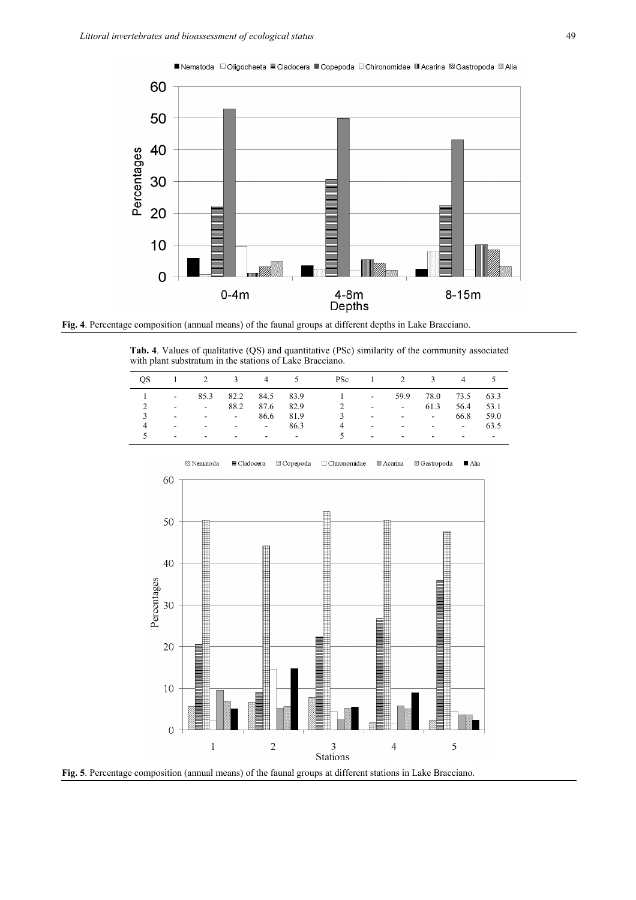

**Fig. 4**. Percentage composition (annual means) of the faunal groups at different depths in Lake Bracciano.

**Tab. 4**. Values of qualitative (QS) and quantitative (PSc) similarity of the community associated with plant substratum in the stations of Lake Bracciano.

|   |                   |                                            |                     |           |           | OS 1 2 3 4 5 PSc 1 2 3 4 5 |                   |                                             |                     |                            |           |
|---|-------------------|--------------------------------------------|---------------------|-----------|-----------|----------------------------|-------------------|---------------------------------------------|---------------------|----------------------------|-----------|
|   | 1 $-$             |                                            | 85.3 82.2 84.5 83.9 |           |           | $1 \qquad -1$              |                   |                                             | 59.9 78.0 73.5 63.3 |                            |           |
|   | $\sim$            | $-88.2$                                    |                     | 87.6 82.9 |           | $\overline{2}$             |                   | the committee of the com-                   | 61.3                | 56.4 53.1                  |           |
| 3 |                   | and the state of the state of              |                     |           | 86.6 81.9 |                            |                   | $3 \cdot \cdot \cdot$ $- \cdot \cdot \cdot$ |                     |                            | 66.8 59.0 |
|   | <b>Contractor</b> | $  -$ 86.3                                 |                     |           |           | $\overline{4}$             | <b>Contractor</b> | the company's state of the state of         |                     |                            | 63.5      |
|   |                   | and the state of the state of the state of |                     |           |           | $5^{\circ}$                |                   | and the company                             | $\sim$              | and the state of the state |           |



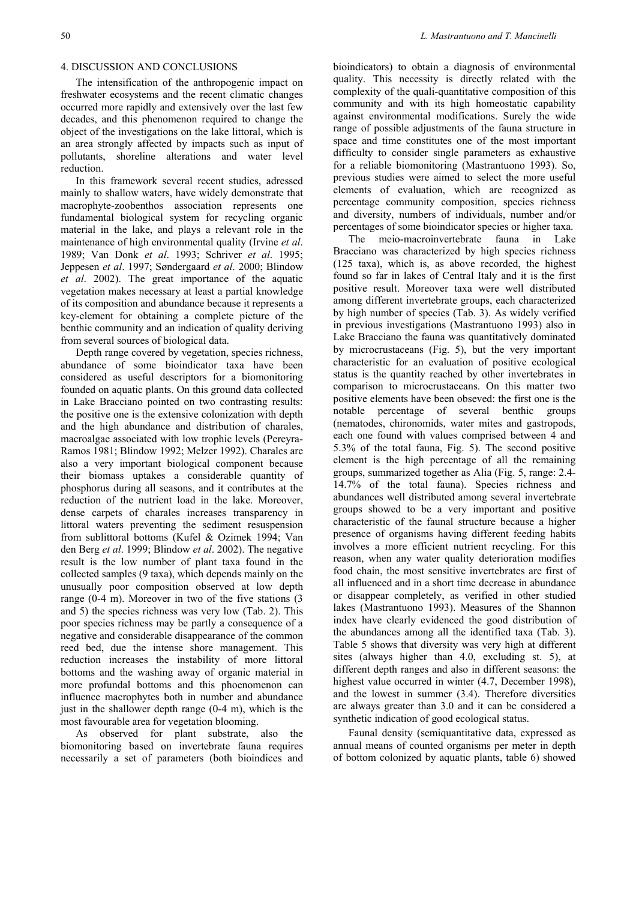## 4. DISCUSSION AND CONCLUSIONS

The intensification of the anthropogenic impact on freshwater ecosystems and the recent climatic changes occurred more rapidly and extensively over the last few decades, and this phenomenon required to change the object of the investigations on the lake littoral, which is an area strongly affected by impacts such as input of pollutants, shoreline alterations and water level reduction.

In this framework several recent studies, adressed mainly to shallow waters, have widely demonstrate that macrophyte-zoobenthos association represents one fundamental biological system for recycling organic material in the lake, and plays a relevant role in the maintenance of high environmental quality (Irvine *et al*. 1989; Van Donk *et al*. 1993; Schriver *et al*. 1995; Jeppesen *et al*. 1997; Søndergaard *et al*. 2000; Blindow *et al*. 2002). The great importance of the aquatic vegetation makes necessary at least a partial knowledge of its composition and abundance because it represents a key-element for obtaining a complete picture of the benthic community and an indication of quality deriving from several sources of biological data.

Depth range covered by vegetation, species richness, abundance of some bioindicator taxa have been considered as useful descriptors for a biomonitoring founded on aquatic plants. On this ground data collected in Lake Bracciano pointed on two contrasting results: the positive one is the extensive colonization with depth and the high abundance and distribution of charales, macroalgae associated with low trophic levels (Pereyra-Ramos 1981; Blindow 1992; Melzer 1992). Charales are also a very important biological component because their biomass uptakes a considerable quantity of phosphorus during all seasons, and it contributes at the reduction of the nutrient load in the lake. Moreover, dense carpets of charales increases transparency in littoral waters preventing the sediment resuspension from sublittoral bottoms (Kufel & Ozimek 1994; Van den Berg *et al*. 1999; Blindow *et al*. 2002). The negative result is the low number of plant taxa found in the collected samples (9 taxa), which depends mainly on the unusually poor composition observed at low depth range (0-4 m). Moreover in two of the five stations (3 and 5) the species richness was very low (Tab. 2). This poor species richness may be partly a consequence of a negative and considerable disappearance of the common reed bed, due the intense shore management. This reduction increases the instability of more littoral bottoms and the washing away of organic material in more profundal bottoms and this phoenomenon can influence macrophytes both in number and abundance just in the shallower depth range  $(0-4 \text{ m})$ , which is the most favourable area for vegetation blooming.

As observed for plant substrate, also the biomonitoring based on invertebrate fauna requires necessarily a set of parameters (both bioindices and bioindicators) to obtain a diagnosis of environmental quality. This necessity is directly related with the complexity of the quali-quantitative composition of this community and with its high homeostatic capability against environmental modifications. Surely the wide range of possible adjustments of the fauna structure in space and time constitutes one of the most important difficulty to consider single parameters as exhaustive for a reliable biomonitoring (Mastrantuono 1993). So, previous studies were aimed to select the more useful elements of evaluation, which are recognized as percentage community composition, species richness and diversity, numbers of individuals, number and/or percentages of some bioindicator species or higher taxa.

The meio-macroinvertebrate fauna in Lake Bracciano was characterized by high species richness (125 taxa), which is, as above recorded, the highest found so far in lakes of Central Italy and it is the first positive result. Moreover taxa were well distributed among different invertebrate groups, each characterized by high number of species (Tab. 3). As widely verified in previous investigations (Mastrantuono 1993) also in Lake Bracciano the fauna was quantitatively dominated by microcrustaceans (Fig. 5), but the very important characteristic for an evaluation of positive ecological status is the quantity reached by other invertebrates in comparison to microcrustaceans. On this matter two positive elements have been obseved: the first one is the notable percentage of several benthic groups (nematodes, chironomids, water mites and gastropods, each one found with values comprised between 4 and 5.3% of the total fauna, Fig. 5). The second positive element is the high percentage of all the remaining groups, summarized together as Alia (Fig. 5, range: 2.4- 14.7% of the total fauna). Species richness and abundances well distributed among several invertebrate groups showed to be a very important and positive characteristic of the faunal structure because a higher presence of organisms having different feeding habits involves a more efficient nutrient recycling. For this reason, when any water quality deterioration modifies food chain, the most sensitive invertebrates are first of all influenced and in a short time decrease in abundance or disappear completely, as verified in other studied lakes (Mastrantuono 1993). Measures of the Shannon index have clearly evidenced the good distribution of the abundances among all the identified taxa (Tab. 3). Table 5 shows that diversity was very high at different sites (always higher than 4.0, excluding st. 5), at different depth ranges and also in different seasons: the highest value occurred in winter  $(4.7,$  December 1998), and the lowest in summer (3.4). Therefore diversities are always greater than 3.0 and it can be considered a synthetic indication of good ecological status.

Faunal density (semiquantitative data, expressed as annual means of counted organisms per meter in depth of bottom colonized by aquatic plants, table 6) showed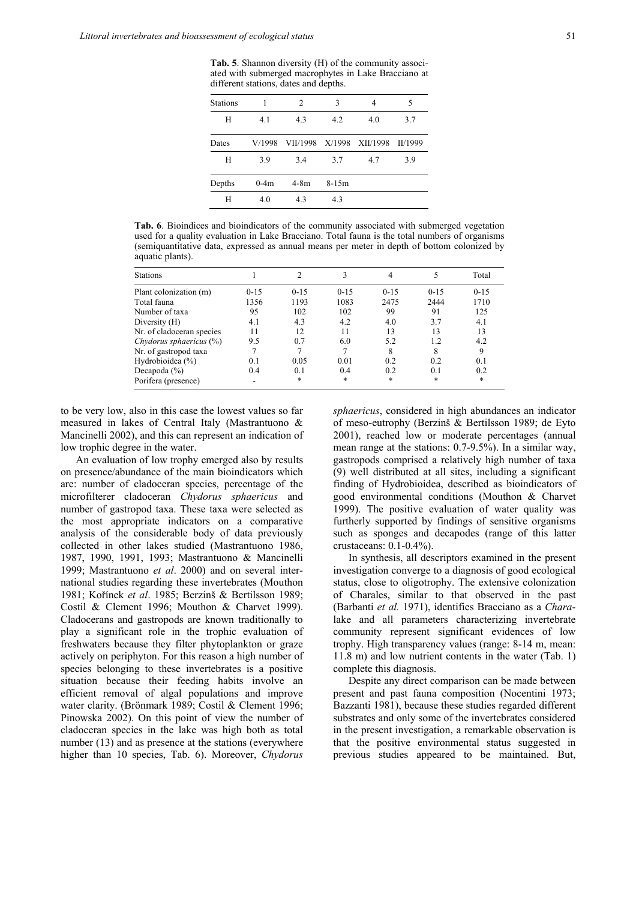**Tab. 5**. Shannon diversity (H) of the community associated with submerged macrophytes in Lake Bracciano at different stations, dates and depths.

| <b>Stations</b> |        | 2                        | 3       | 4   |         |
|-----------------|--------|--------------------------|---------|-----|---------|
| H               | 4.1    | 4.3                      | 4.2     | 4.0 | 3.7     |
| Dates           | V/1998 | VII/1998 X/1998 XII/1998 |         |     | II/1999 |
| Н               | 3.9    | 3.4                      | 3.7     | 4.7 | 3.9     |
| Depths          | $0-4m$ | $4-8m$                   | $8-15m$ |     |         |
| H               | 4.0    | 4.3                      | 4.3     |     |         |

**Tab. 6**. Bioindices and bioindicators of the community associated with submerged vegetation used for a quality evaluation in Lake Bracciano. Total fauna is the total numbers of organisms (semiquantitative data, expressed as annual means per meter in depth of bottom colonized by aquatic plants).

| <b>Stations</b>            |          |          |          | 4        |          | Total  |
|----------------------------|----------|----------|----------|----------|----------|--------|
| Plant colonization (m)     | $0 - 15$ | $0 - 15$ | $0 - 15$ | $0 - 15$ | $0 - 15$ | $0-15$ |
| Total fauna                | 1356     | 1193     | 1083     | 2475     | 2444     | 1710   |
| Number of taxa             | 95       | 102      | 102      | 99       | 91       | 125    |
| Diversity (H)              | 4.1      | 4.3      | 4.2      | 4.0      | 3.7      | 4.1    |
| Nr. of cladoceran species  | 11       | 12       | 11       | 13       | 13       | 13     |
| Chydorus sphaericus $(\%)$ | 9.5      | 0.7      | 6.0      | 5.2      | 1.2      | 4.2    |
| Nr. of gastropod taxa      | 7        |          |          | 8        | 8        | 9      |
| Hydrobioidea $(\% )$       | 0.1      | 0.05     | 0.01     | 0.2      | 0.2      | 0.1    |
| Decapoda $(\% )$           | 0.4      | 0.1      | 0.4      | 0.2      | 0.1      | 0.2    |
| Porifera (presence)        | ۰        | $\ast$   | $\ast$   | $\ast$   | *        | *      |

to be very low, also in this case the lowest values so far measured in lakes of Central Italy (Mastrantuono & Mancinelli 2002), and this can represent an indication of low trophic degree in the water.

An evaluation of low trophy emerged also by results on presence/abundance of the main bioindicators which are: number of cladoceran species, percentage of the microfilterer cladoceran *Chydorus sphaericus* and number of gastropod taxa. These taxa were selected as the most appropriate indicators on a comparative analysis of the considerable body of data previously collected in other lakes studied (Mastrantuono 1986, 1987, 1990, 1991, 1993; Mastrantuono & Mancinelli 1999; Mastrantuono *et al*. 2000) and on several international studies regarding these invertebrates (Mouthon 1981; Kořínek *et al*. 1985; Berzinš & Bertilsson 1989; Costil & Clement 1996; Mouthon & Charvet 1999). Cladocerans and gastropods are known traditionally to play a significant role in the trophic evaluation of freshwaters because they filter phytoplankton or graze actively on periphyton. For this reason a high number of species belonging to these invertebrates is a positive situation because their feeding habits involve an efficient removal of algal populations and improve water clarity. (Brönmark 1989; Costil & Clement 1996; Pinowska 2002). On this point of view the number of cladoceran species in the lake was high both as total number (13) and as presence at the stations (everywhere higher than 10 species, Tab. 6). Moreover, *Chydorus* 

*sphaericus*, considered in high abundances an indicator of meso-eutrophy (Berzinš & Bertilsson 1989; de Eyto 2001), reached low or moderate percentages (annual mean range at the stations: 0.7-9.5%). In a similar way, gastropods comprised a relatively high number of taxa (9) well distributed at all sites, including a significant finding of Hydrobioidea, described as bioindicators of good environmental conditions (Mouthon & Charvet 1999). The positive evaluation of water quality was furtherly supported by findings of sensitive organisms such as sponges and decapodes (range of this latter crustaceans: 0.1-0.4%).

In synthesis, all descriptors examined in the present investigation converge to a diagnosis of good ecological status, close to oligotrophy. The extensive colonization of Charales, similar to that observed in the past (Barbanti *et al.* 1971), identifies Bracciano as a *Chara*lake and all parameters characterizing invertebrate community represent significant evidences of low trophy. High transparency values (range: 8-14 m, mean: 11.8 m) and low nutrient contents in the water (Tab. 1) complete this diagnosis.

Despite any direct comparison can be made between present and past fauna composition (Nocentini 1973; Bazzanti 1981), because these studies regarded different substrates and only some of the invertebrates considered in the present investigation, a remarkable observation is that the positive environmental status suggested in previous studies appeared to be maintained. But,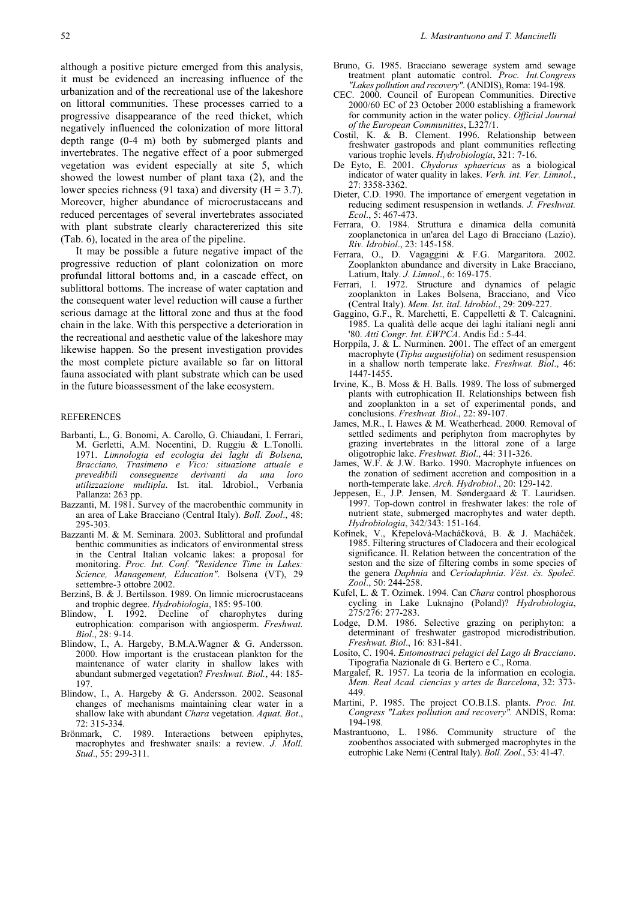although a positive picture emerged from this analysis, it must be evidenced an increasing influence of the urbanization and of the recreational use of the lakeshore on littoral communities. These processes carried to a progressive disappearance of the reed thicket, which negatively influenced the colonization of more littoral depth range (0-4 m) both by submerged plants and invertebrates. The negative effect of a poor submerged vegetation was evident especially at site 5, which showed the lowest number of plant taxa (2), and the lower species richness (91 taxa) and diversity  $(H = 3.7)$ . Moreover, higher abundance of microcrustaceans and reduced percentages of several invertebrates associated with plant substrate clearly charactererized this site (Tab. 6), located in the area of the pipeline.

It may be possible a future negative impact of the progressive reduction of plant colonization on more profundal littoral bottoms and, in a cascade effect, on sublittoral bottoms. The increase of water captation and the consequent water level reduction will cause a further serious damage at the littoral zone and thus at the food chain in the lake. With this perspective a deterioration in the recreational and aesthetic value of the lakeshore may likewise happen. So the present investigation provides the most complete picture available so far on littoral fauna associated with plant substrate which can be used in the future bioassessment of the lake ecosystem.

### REFERENCES

- Barbanti, L., G. Bonomi, A. Carollo, G. Chiaudani, I. Ferrari, M. Gerletti, A.M. Nocentini, D. Ruggiu & L.Tonolli. 1971. *Limnologia ed ecologia dei laghi di Bolsena, Bracciano, Trasimeno e Vico: situazione attuale e prevedibili conseguenze derivanti da una loro utilizzazione multipla*. Ist. ital. Idrobiol., Verbania Pallanza: 263 pp.
- Bazzanti, M. 1981. Survey of the macrobenthic community in an area of Lake Bracciano (Central Italy). *Boll. Zool*., 48: 295-303.
- Bazzanti M. & M. Seminara. 2003. Sublittoral and profundal benthic communities as indicators of environmental stress in the Central Italian volcanic lakes: a proposal for monitoring. *Proc. Int. Conf. "Residence Time in Lakes: Science, Management, Education"*. Bolsena (VT), 29 settembre-3 ottobre 2002.
- Berzinš, B. & J. Bertilsson. 1989. On limnic microcrustaceans and trophic degree. *Hydrobiologia*, 185: 95-100.
- Blindow, I. 1992. Decline of charophytes during eutrophication: comparison with angiosperm. *Freshwat. Biol*., 28: 9-14.
- Blindow, I., A. Hargeby, B.M.A.Wagner & G. Andersson. 2000. How important is the crustacean plankton for the maintenance of water clarity in shallow lakes with abundant submerged vegetation? *Freshwat. Biol.*, 44: 185- 197.
- Blindow, I., A. Hargeby & G. Andersson. 2002. Seasonal changes of mechanisms maintaining clear water in a shallow lake with abundant *Chara* vegetation. *Aquat. Bot*., 72: 315-334.
- Brönmark, C. 1989. Interactions between epiphytes, macrophytes and freshwater snails: a review. *J. Moll. Stud*., 55: 299-311.
- Bruno, G. 1985. Bracciano sewerage system amd sewage treatment plant automatic control. *Proc. Int.Congress "Lakes pollution and recovery"*. (ANDIS), Roma: 194-198.
- 2000. Council of European Communities. Directive 2000/60 EC of 23 October 2000 establishing a framework for community action in the water policy. *Official Journal of the European Communities*, L327/1.
- Costil, K.  $\&$  B. Clement. 1996. Relationship between freshwater gastropods and plant communities reflecting various trophic levels. *Hydrobiologia*, 321: 7-16.
- De Eyto, E. 2001. *Chydorus sphaericus* as a biological indicator of water quality in lakes. *Verh. int. Ver. Limnol.*, 27: 3358-3362.
- Dieter, C.D. 1990. The importance of emergent vegetation in reducing sediment resuspension in wetlands. *J. Freshwat. Ecol*., 5: 467-473.
- Ferrara, O. 1984. Struttura e dinamica della comunità zooplanctonica in un'area del Lago di Bracciano (Lazio). *Riv. Idrobiol*., 23: 145-158.
- Ferrara, O., D. Vagaggini & F.G. Margaritora. 2002. Zooplankton abundance and diversity in Lake Bracciano, Latium, Italy. *J. Limnol*., 6: 169-175.
- Ferrari, I. 1972. Structure and dynamics of pelagic zooplankton in Lakes Bolsena, Bracciano, and Vico (Central Italy). *Mem. Ist. ital. Idrobiol.*, 29: 209-227.
- Gaggino, G.F., R. Marchetti, E. Cappelletti & T. Calcagnini. 1985. La qualità delle acque dei laghi italiani negli anni '80. *Atti Congr. Int. EWPCA*. Andis Ed.: 5-44.
- Horppila, J. & L. Nurminen. 2001. The effect of an emergent macrophyte (*Tipha augustifolia*) on sediment resuspension in a shallow north temperate lake. *Freshwat. Biol*., 46: 1447-1455.
- Irvine, K., B. Moss & H. Balls. 1989. The loss of submerged plants with eutrophication II. Relationships between fish and zooplankton in a set of experimental ponds, and conclusions. *Freshwat. Biol.*, 22: 89-107.
- James, M.R., I. Hawes & M. Weatherhead. 2000. Removal of settled sediments and periphyton from macrophytes by grazing invertebrates in the littoral zone of a large oligotrophic lake. *Freshwat. Biol*., 44: 311-326.
- James, W.F. & J.W. Barko. 1990. Macrophyte infuences on the zonation of sediment accretion and composition in a north-temperate lake. *Arch. Hydrobiol*., 20: 129-142.
- Jeppesen, E., J.P. Jensen, M. Søndergaard & T. Lauridsen. 1997. Top-down control in freshwater lakes: the role of nutrient state, submerged macrophytes and water depth. *Hydrobiologia*, 342/343: 151-164.
- Kořínek, V., Křepelová-Macháčková, B. & J. Macháček. 1985. Filtering structures of Cladocera and their ecological significance. II. Relation between the concentration of the seston and the size of filtering combs in some species of the genera *Daphnia* and *Ceriodaphnia*. *Věst. čs. Společ. Zool*., 50: 244-258.
- Kufel, L. & T. Ozimek. 1994. Can *Chara* control phosphorous cycling in Lake Luknajno (Poland)? *Hydrobiologia*, 275/276: 277-283.
- Lodge, D.M. 1986. Selective grazing on periphyton: a determinant of freshwater gastropod microdistribution. *Freshwat. Biol*., 16: 831-841.
- Losito, C. 1904. *Entomostraci pelagici del Lago di Bracciano*. Tipografia Nazionale di G. Bertero e C., Roma.
- Margalef, R. 1957. La teoria de la information en ecologia. *Mem. Real Acad. ciencias y artes de Barcelona*, 32: 373- 449.
- Martini, P. 1985. The project CO.B.I.S. plants. *Proc. Int. Congress "Lakes pollution and recovery".* ANDIS, Roma: 194-198.
- Mastrantuono, L. 1986. Community structure of the zoobenthos associated with submerged macrophytes in the eutrophic Lake Nemi (Central Italy). *Boll. Zool.*, 53: 41-47.